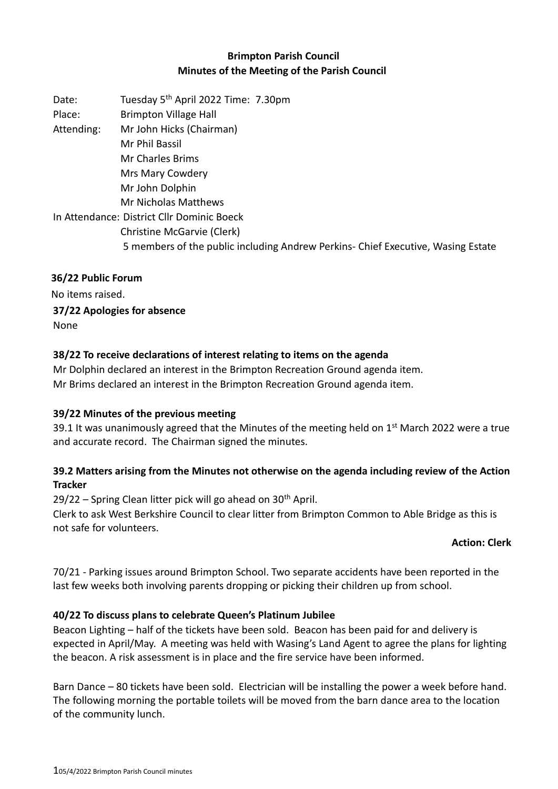# **Brimpton Parish Council Minutes of the Meeting of the Parish Council**

Date: Tuesday 5<sup>th</sup> April 2022 Time: 7.30pm Place: Brimpton Village Hall Attending: Mr John Hicks (Chairman) Mr Phil Bassil Mr Charles Brims Mrs Mary Cowdery Mr John Dolphin Mr Nicholas Matthews In Attendance: District Cllr Dominic Boeck Christine McGarvie (Clerk) 5 members of the public including Andrew Perkins- Chief Executive, Wasing Estate

# **36/22 Public Forum**

No items raised.

#### **37/22 Apologies for absence** None

# **38/22 To receive declarations of interest relating to items on the agenda**

Mr Dolphin declared an interest in the Brimpton Recreation Ground agenda item. Mr Brims declared an interest in the Brimpton Recreation Ground agenda item.

### **39/22 Minutes of the previous meeting**

39.1 It was unanimously agreed that the Minutes of the meeting held on 1<sup>st</sup> March 2022 were a true and accurate record. The Chairman signed the minutes.

# **39.2 Matters arising from the Minutes not otherwise on the agenda including review of the Action Tracker**

 $29/22$  – Spring Clean litter pick will go ahead on  $30<sup>th</sup>$  April.

Clerk to ask West Berkshire Council to clear litter from Brimpton Common to Able Bridge as this is not safe for volunteers.

### **Action: Clerk**

70/21 - Parking issues around Brimpton School. Two separate accidents have been reported in the last few weeks both involving parents dropping or picking their children up from school.

# **40/22 To discuss plans to celebrate Queen's Platinum Jubilee**

Beacon Lighting – half of the tickets have been sold. Beacon has been paid for and delivery is expected in April/May. A meeting was held with Wasing's Land Agent to agree the plans for lighting the beacon. A risk assessment is in place and the fire service have been informed.

Barn Dance – 80 tickets have been sold. Electrician will be installing the power a week before hand. The following morning the portable toilets will be moved from the barn dance area to the location of the community lunch.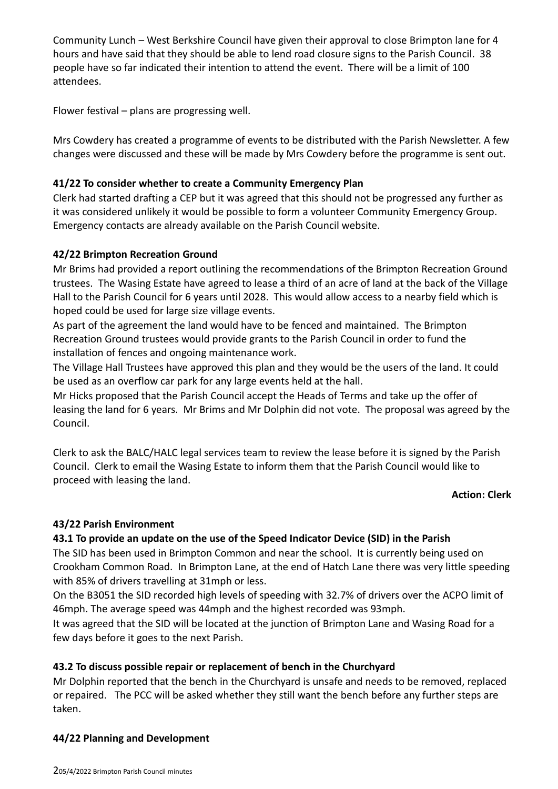Community Lunch – West Berkshire Council have given their approval to close Brimpton lane for 4 hours and have said that they should be able to lend road closure signs to the Parish Council. 38 people have so far indicated their intention to attend the event. There will be a limit of 100 attendees.

Flower festival – plans are progressing well.

Mrs Cowdery has created a programme of events to be distributed with the Parish Newsletter. A few changes were discussed and these will be made by Mrs Cowdery before the programme is sent out.

#### **41/22 To consider whether to create a Community Emergency Plan**

Clerk had started drafting a CEP but it was agreed that this should not be progressed any further as it was considered unlikely it would be possible to form a volunteer Community Emergency Group. Emergency contacts are already available on the Parish Council website.

#### **42/22 Brimpton Recreation Ground**

Mr Brims had provided a report outlining the recommendations of the Brimpton Recreation Ground trustees. The Wasing Estate have agreed to lease a third of an acre of land at the back of the Village Hall to the Parish Council for 6 years until 2028. This would allow access to a nearby field which is hoped could be used for large size village events.

As part of the agreement the land would have to be fenced and maintained. The Brimpton Recreation Ground trustees would provide grants to the Parish Council in order to fund the installation of fences and ongoing maintenance work.

The Village Hall Trustees have approved this plan and they would be the users of the land. It could be used as an overflow car park for any large events held at the hall.

Mr Hicks proposed that the Parish Council accept the Heads of Terms and take up the offer of leasing the land for 6 years. Mr Brims and Mr Dolphin did not vote. The proposal was agreed by the Council.

Clerk to ask the BALC/HALC legal services team to review the lease before it is signed by the Parish Council. Clerk to email the Wasing Estate to inform them that the Parish Council would like to proceed with leasing the land.

#### **Action: Clerk**

### **43/22 Parish Environment**

### **43.1 To provide an update on the use of the Speed Indicator Device (SID) in the Parish**

The SID has been used in Brimpton Common and near the school. It is currently being used on Crookham Common Road. In Brimpton Lane, at the end of Hatch Lane there was very little speeding with 85% of drivers travelling at 31mph or less.

On the B3051 the SID recorded high levels of speeding with 32.7% of drivers over the ACPO limit of 46mph. The average speed was 44mph and the highest recorded was 93mph.

It was agreed that the SID will be located at the junction of Brimpton Lane and Wasing Road for a few days before it goes to the next Parish.

### **43.2 To discuss possible repair or replacement of bench in the Churchyard**

Mr Dolphin reported that the bench in the Churchyard is unsafe and needs to be removed, replaced or repaired. The PCC will be asked whether they still want the bench before any further steps are taken.

#### **44/22 Planning and Development**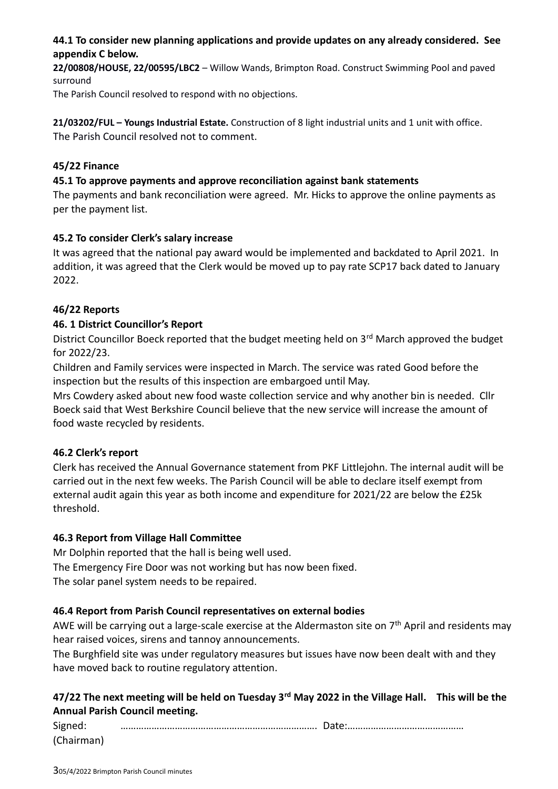# **44.1 To consider new planning applications and provide updates on any already considered. See appendix C below.**

**22/00808/HOUSE, 22/00595/LBC2** – Willow Wands, Brimpton Road. Construct Swimming Pool and paved surround

The Parish Council resolved to respond with no objections.

**21/03202/FUL – Youngs Industrial Estate.** Construction of 8 light industrial units and 1 unit with office. The Parish Council resolved not to comment.

#### **45/22 Finance**

#### **45.1 To approve payments and approve reconciliation against bank statements**

The payments and bank reconciliation were agreed. Mr. Hicks to approve the online payments as per the payment list.

### **45.2 To consider Clerk's salary increase**

It was agreed that the national pay award would be implemented and backdated to April 2021. In addition, it was agreed that the Clerk would be moved up to pay rate SCP17 back dated to January 2022.

### **46/22 Reports**

### **46. 1 District Councillor's Report**

District Councillor Boeck reported that the budget meeting held on 3<sup>rd</sup> March approved the budget for 2022/23.

Children and Family services were inspected in March. The service was rated Good before the inspection but the results of this inspection are embargoed until May.

Mrs Cowdery asked about new food waste collection service and why another bin is needed. Cllr Boeck said that West Berkshire Council believe that the new service will increase the amount of food waste recycled by residents.

### **46.2 Clerk's report**

Clerk has received the Annual Governance statement from PKF Littlejohn. The internal audit will be carried out in the next few weeks. The Parish Council will be able to declare itself exempt from external audit again this year as both income and expenditure for 2021/22 are below the £25k threshold.

### **46.3 Report from Village Hall Committee**

Mr Dolphin reported that the hall is being well used. The Emergency Fire Door was not working but has now been fixed. The solar panel system needs to be repaired.

### **46.4 Report from Parish Council representatives on external bodies**

AWE will be carrying out a large-scale exercise at the Aldermaston site on 7<sup>th</sup> April and residents may hear raised voices, sirens and tannoy announcements.

The Burghfield site was under regulatory measures but issues have now been dealt with and they have moved back to routine regulatory attention.

# **47/22 The next meeting will be held on Tuesday 3rd May 2022 in the Village Hall. This will be the Annual Parish Council meeting.**

| Signed:    |  |
|------------|--|
| (Chairman) |  |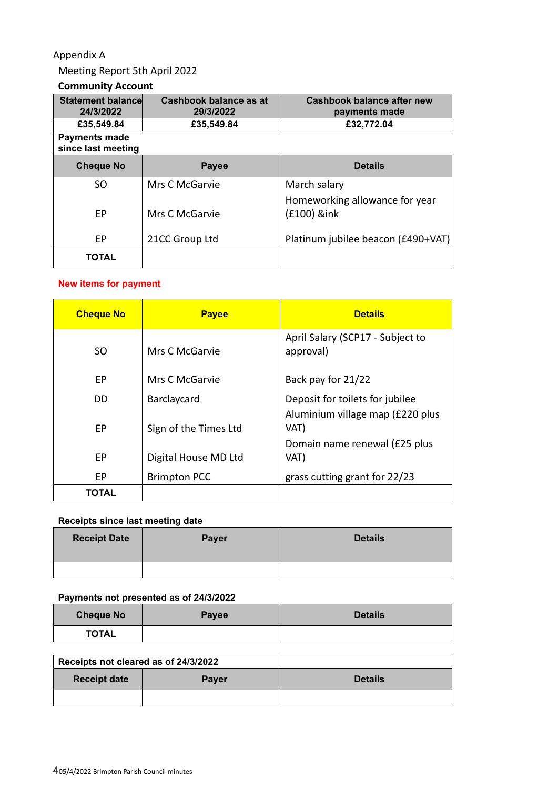# Appendix A

# Meeting Report 5th April 2022

#### **Community Account**

| <b>Statement balance</b><br>24/3/2022      | Cashbook balance as at<br>29/3/2022 | Cashbook balance after new<br>payments made    |
|--------------------------------------------|-------------------------------------|------------------------------------------------|
| £35,549.84                                 | £32,772.04<br>£35,549.84            |                                                |
| <b>Payments made</b><br>since last meeting |                                     |                                                |
| <b>Cheque No</b>                           | <b>Payee</b>                        | <b>Details</b>                                 |
| SO.                                        | Mrs C McGarvie                      | March salary<br>Homeworking allowance for year |
| EP                                         | Mrs C McGarvie                      | (£100) &ink                                    |
| EP                                         | 21CC Group Ltd                      | Platinum jubilee beacon (£490+VAT)             |
| <b>TOTAL</b>                               |                                     |                                                |

## **New items for payment**

| <b>Cheque No</b> | <b>Payee</b>          | <b>Details</b>                                |
|------------------|-----------------------|-----------------------------------------------|
| SO.              | Mrs C McGarvie        | April Salary (SCP17 - Subject to<br>approval) |
| EP               | Mrs C McGarvie        | Back pay for 21/22                            |
| DD.              | Barclaycard           | Deposit for toilets for jubilee               |
| EP               | Sign of the Times Ltd | Aluminium village map (£220 plus<br>VAT)      |
| EP               | Digital House MD Ltd  | Domain name renewal (£25 plus<br>VAT)         |
| ЕP               | <b>Brimpton PCC</b>   | grass cutting grant for 22/23                 |
| TOTAL            |                       |                                               |

## **Receipts since last meeting date**

| <b>Receipt Date</b> | <b>Payer</b> | <b>Details</b> |
|---------------------|--------------|----------------|
|                     |              |                |

#### **Payments not presented as of 24/3/2022**

| <b>Cheque No</b> | Payee | <b>Details</b> |
|------------------|-------|----------------|
| <b>TOTAL</b>     |       |                |

| Receipts not cleared as of 24/3/2022 |              |                |
|--------------------------------------|--------------|----------------|
| <b>Receipt date</b>                  | <b>Payer</b> | <b>Details</b> |
|                                      |              |                |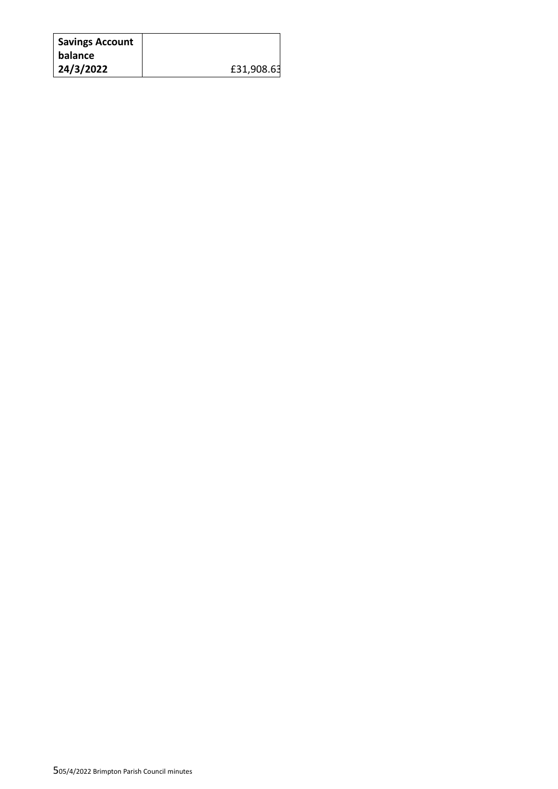| <b>Savings Account</b> |            |
|------------------------|------------|
| <b>balance</b>         |            |
| 24/3/2022              | £31,908.63 |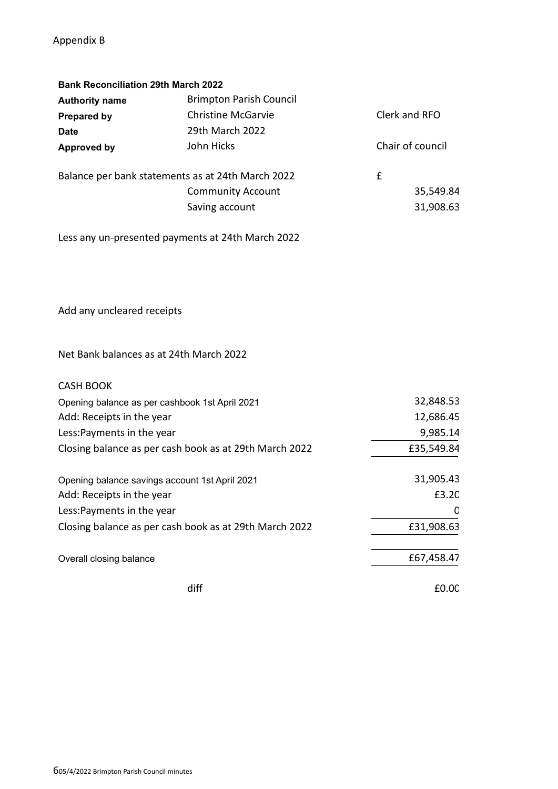# Appendix B

| <b>Bank Reconciliation 29th March 2022</b> |                                                   |                  |
|--------------------------------------------|---------------------------------------------------|------------------|
| <b>Authority name</b>                      | <b>Brimpton Parish Council</b>                    |                  |
| <b>Prepared by</b>                         | <b>Christine McGarvie</b>                         | Clerk and RFO    |
| <b>Date</b>                                | 29th March 2022                                   |                  |
| <b>Approved by</b>                         | John Hicks                                        | Chair of council |
|                                            | Balance per bank statements as at 24th March 2022 | £                |
|                                            | <b>Community Account</b>                          | 35,549.84        |
|                                            | Saving account                                    | 31,908.63        |
|                                            |                                                   |                  |

Less any un-presented payments at 24th March 2022

Add any uncleared receipts

Net Bank balances as at 24th March 2022

| <b>CASH BOOK</b>                                       |            |
|--------------------------------------------------------|------------|
| Opening balance as per cashbook 1st April 2021         | 32,848.53  |
| Add: Receipts in the year                              | 12,686.45  |
| Less: Payments in the year                             | 9,985.14   |
| Closing balance as per cash book as at 29th March 2022 | £35,549.84 |
| Opening balance savings account 1st April 2021         | 31,905.43  |
| Add: Receipts in the year                              | £3.2C      |
| Less: Payments in the year                             |            |
| Closing balance as per cash book as at 29th March 2022 | £31,908.63 |
| Overall closing balance                                | £67,458.47 |
| diff                                                   | £0.0C      |